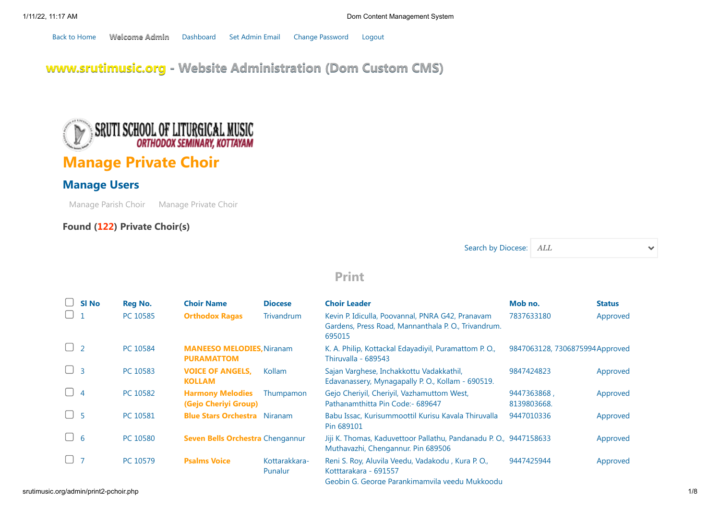[Back to Home](http://www.srutimusic.org/) Welcome Admin [Dashboard](http://srutimusic.org/admin/dashboard.php) [Set Admin Email](http://srutimusic.org/admin/admin-email-set.php) [Change Password](http://srutimusic.org/admin/change-password.php) [Logout](http://srutimusic.org/admin/logout.php)

[www.srutimusic.org - Website Administration \(Dom Custom CMS\)](http://srutimusic.org/admin/dashboard.php)



# Manage Private Choir

## Manage Users

[Manage Parish Choir](http://srutimusic.org/admin/manage-cchoir.php) [Manage Private Choir](http://srutimusic.org/admin/manage-pchoir.php)

## Found (122) Private Choir(s)

Search by Diocese: ALL

 $\checkmark$ 

## [Print](javascript:window.print())

|          | <b>SI No</b>   | <b>Reg No.</b> | <b>Choir Name</b>                                     | <b>Diocese</b>           | <b>Choir Leader</b>                                                                                                          | Mob no.                        | <b>Status</b> |
|----------|----------------|----------------|-------------------------------------------------------|--------------------------|------------------------------------------------------------------------------------------------------------------------------|--------------------------------|---------------|
|          |                | PC 10585       | <b>Orthodox Ragas</b>                                 | <b>Trivandrum</b>        | Kevin P. Idiculla, Poovannal, PNRA G42, Pranavam<br>Gardens, Press Road, Mannanthala P. O., Trivandrum.<br>695015            | 7837633180                     | Approved      |
| $\cup$ 2 |                | PC 10584       | <b>MANEESO MELODIES, Niranam</b><br><b>PURAMATTOM</b> |                          | K. A. Philip, Kottackal Edayadiyil, Puramattom P. O.,<br>Thiruvalla - 689543                                                 | 9847063128, 7306875994Approved |               |
|          | $\overline{3}$ | PC 10583       | <b>VOICE OF ANGELS.</b><br><b>KOLLAM</b>              | Kollam                   | Sajan Varghese, Inchakkottu Vadakkathil,<br>Edavanassery, Mynagapally P.O., Kollam - 690519.                                 | 9847424823                     | Approved      |
|          | $\overline{4}$ | PC 10582       | <b>Harmony Melodies</b><br>(Gejo Cheriyi Group)       | Thumpamon                | Gejo Cheriyil, Cheriyil, Vazhamuttom West,<br>Pathanamthitta Pin Code:- 689647                                               | 9447363868,<br>8139803668.     | Approved      |
|          | -5             | PC 10581       | <b>Blue Stars Orchestra</b> Niranam                   |                          | Babu Issac, Kurisummoottil Kurisu Kavala Thiruvalla<br>Pin 689101                                                            | 9447010336                     | Approved      |
| U        | - 6            | PC 10580       | <b>Seven Bells Orchestra Chengannur</b>               |                          | Jiji K. Thomas, Kaduvettoor Pallathu, Pandanadu P. O., 9447158633<br>Muthavazhi, Chengannur. Pin 689506                      |                                | Approved      |
|          | $\overline{7}$ | PC 10579       | <b>Psalms Voice</b>                                   | Kottarakkara-<br>Punalur | Reni S. Roy, Aluvila Veedu, Vadakodu, Kura P. O.,<br>Kotttarakara - 691557<br>Geobin G. George Parankimamvila veedu Mukkoodu | 9447425944                     | Approved      |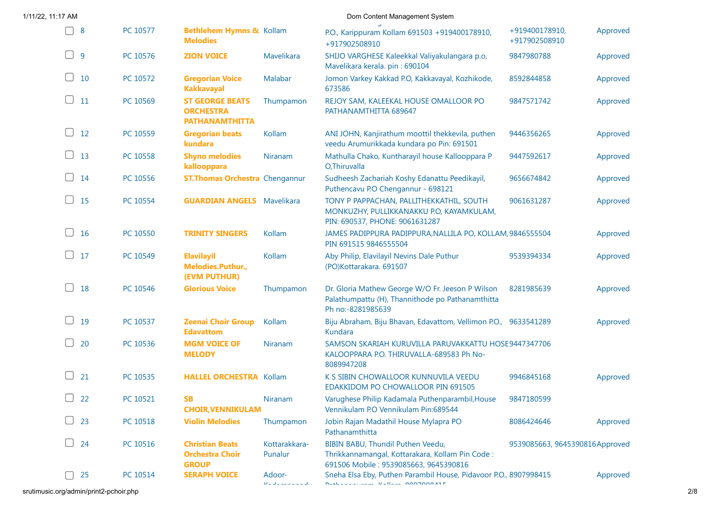| 1/11/22, 11:17 AM              |          |                                                                     |                                                                           | Dom Content Management System                                                                                                 |                                 |          |
|--------------------------------|----------|---------------------------------------------------------------------|---------------------------------------------------------------------------|-------------------------------------------------------------------------------------------------------------------------------|---------------------------------|----------|
| 8                              | PC 10577 | <b>Bethlehem Hymns &amp; Kollam</b><br><b>Melodies</b>              |                                                                           | P.O., Karippuram Kollam 691503 +919400178910,<br>+917902508910                                                                | +919400178910,<br>+917902508910 | Approved |
| $\Box$<br>$\overline{9}$       | PC 10576 | <b>ZION VOICE</b>                                                   | Mavelikara                                                                | SHIJO VARGHESE Kaleekkal Valiyakulangara p.o,<br>Mavelikara kerala. pin: 690104                                               | 9847980788                      | Approved |
| $\Box$<br>10                   | PC 10572 | <b>Gregorian Voice</b><br><b>Kakkavayal</b>                         | Malabar                                                                   | Jomon Varkey Kakkad P.O, Kakkavayal, Kozhikode,<br>673586                                                                     | 8592844858                      | Approved |
| $\Box$<br>11                   | PC 10569 | <b>ST GEORGE BEATS</b><br><b>ORCHESTRA</b><br><b>PATHANAMTHITTA</b> | Thumpamon                                                                 | REJOY SAM, KALEEKAL HOUSE OMALLOOR PO<br>PATHANAMTHITTA 689647                                                                | 9847571742                      | Approved |
| $\Box$<br>12                   | PC 10559 | <b>Gregorian beats</b><br>kundara                                   | Kollam                                                                    | ANI JOHN, Kanjirathum moottil thekkevila, puthen<br>veedu Arumurikkada kundara po Pin: 691501                                 | 9446356265                      | Approved |
| $\Box$<br>13                   | PC 10558 | <b>Shyno melodies</b><br>kallooppara                                | Niranam                                                                   | Mathulla Chako, Kuntharayil house Kallooppara P<br>O, Thiruvalla                                                              | 9447592617                      | Approved |
| 14                             | PC 10556 | <b>ST. Thomas Orchestra</b> Chengannur                              |                                                                           | Sudheesh Zachariah Koshy Edanattu Peedikayil,<br>Puthencavu P.O Chengannur - 698121                                           | 9656674842                      | Approved |
| $\Box$ 15                      | PC 10554 | <b>GUARDIAN ANGELS</b> Mavelikara                                   |                                                                           | TONY P PAPPACHAN, PALLITHEKKATHIL, SOUTH<br>MONKUZHY, PULLIKKANAKKU P.O, KAYAMKULAM,<br>PIN: 690537, PHONE: 9061631287        | 9061631287                      | Approved |
| $\Box$<br>16                   | PC 10550 | <b>TRINITY SINGERS</b>                                              | Kollam                                                                    | JAMES PADIPPURA PADIPPURA, NALLILA PO, KOLLAM, 9846555504<br>PIN 691515 9846555504                                            |                                 | Approved |
| $\Box$<br>17                   | PC 10549 | <b>Elavilayil</b><br>Melodies.Puthur.,<br>(EVM PUTHUR)              | Kollam                                                                    | Aby Philip, Elavilayil Nevins Dale Puthur<br>(PO)Kottarakara. 691507                                                          | 9539394334                      | Approved |
| $\Box$<br>18                   | PC 10546 | <b>Glorious Voice</b>                                               | Thumpamon                                                                 | Dr. Gloria Mathew George W/O Fr. Jeeson P Wilson<br>Palathumpattu (H), Thannithode po Pathanamthitta<br>Ph no:-8281985639     | 8281985639                      | Approved |
| $\blacksquare$<br>19           | PC 10537 | <b>Zeenai Choir Group</b><br><b>Edavattom</b>                       | Kollam                                                                    | Biju Abraham, Biju Bhavan, Edavattom, Vellimon P.O., 9633541289<br>Kundara                                                    |                                 | Approved |
| $\Box$<br>20                   | PC 10536 | <b>MGM VOICE OF</b><br><b>MELODY</b>                                | Niranam                                                                   | SAMSON SKARIAH KURUVILLA PARUVAKKATTU HOSE9447347706<br>KALOOPPARA P.O. THIRUVALLA-689583 Ph No-<br>8089947208                |                                 |          |
| 21                             | PC 10535 | <b>HALLEL ORCHESTRA Kollam</b>                                      |                                                                           | K S SIBIN CHOWALLOOR KUNNUVILA VEEDU<br>EDAKKIDOM PO CHOWALLOOR PIN 691505                                                    | 9946845168                      | Approved |
| 22                             | PC 10521 | <b>SB</b><br><b>CHOIR, VENNIKULAM</b>                               | Niranam                                                                   | Varughese Philip Kadamala Puthenparambil, House<br>Vennikulam P.O Vennikulam Pin:689544                                       | 9847180599                      |          |
| 23                             | PC 10518 | <b>Violin Melodies</b>                                              | Thumpamon                                                                 | Jobin Rajan Madathil House Mylapra PO<br>Pathanamthitta                                                                       | 8086424646                      | Approved |
| $\overline{\phantom{0}}$<br>24 | PC 10516 | <b>Christian Beats</b><br><b>Orchestra Choir</b><br><b>GROUP</b>    | Kottarakkara-<br>Punalur                                                  | BIBIN BABU, Thundil Puthen Veedu,<br>Thrikkannamangal, Kottarakara, Kollam Pin Code:<br>691506 Mobile: 9539085663, 9645390816 | 9539085663, 9645390816Approved  |          |
| 25                             | PC 10514 | <b>SERAPH VOICE</b>                                                 | Adoor-<br>$\mathbf{D}^{\prime}$ is all the set of the set of $\mathbf{D}$ | Sneha Elsa Eby, Puthen Parambil House, Pidavoor P.O., 8907998415<br><b>Nederly Committed, Inc., COOPOORAF</b>                 |                                 | Approved |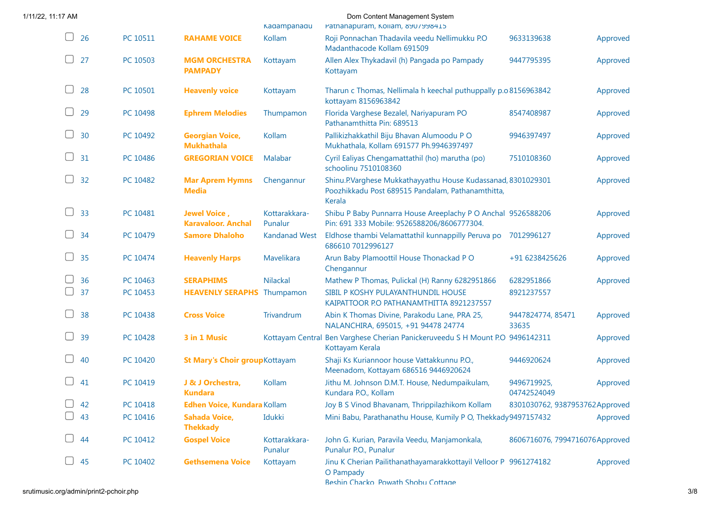| 1/11/22, 11:17 AM |          |                                             | Kadampanadu              | Dom Content Management System<br>Pathanapuram, Kollam, 8907998415                                                           |                                |          |
|-------------------|----------|---------------------------------------------|--------------------------|-----------------------------------------------------------------------------------------------------------------------------|--------------------------------|----------|
| 26<br>$\Box$      | PC 10511 | <b>RAHAME VOICE</b>                         | Kollam                   | Roji Ponnachan Thadavila veedu Nellimukku P.O<br>Madanthacode Kollam 691509                                                 | 9633139638                     | Approved |
| 27                | PC 10503 | <b>MGM ORCHESTRA</b><br><b>PAMPADY</b>      | Kottayam                 | Allen Alex Thykadavil (h) Pangada po Pampady<br>Kottayam                                                                    | 9447795395                     | Approved |
| 28                | PC 10501 | <b>Heavenly voice</b>                       | Kottayam                 | Tharun c Thomas, Nellimala h keechal puthuppally p.o 8156963842<br>kottayam 8156963842                                      |                                | Approved |
| 29                | PC 10498 | <b>Ephrem Melodies</b>                      | Thumpamon                | Florida Varghese Bezalel, Nariyapuram PO<br>Pathanamthitta Pin: 689513                                                      | 8547408987                     | Approved |
| 30<br>$\Box$      | PC 10492 | <b>Georgian Voice,</b><br><b>Mukhathala</b> | Kollam                   | Pallikizhakkathil Biju Bhavan Alumoodu PO<br>Mukhathala, Kollam 691577 Ph.9946397497                                        | 9946397497                     | Approved |
| $\Box$<br>31      | PC 10486 | <b>GREGORIAN VOICE</b>                      | Malabar                  | Cyril Ealiyas Chengamattathil (ho) marutha (po)<br>schoolinu 7510108360                                                     | 7510108360                     | Approved |
| 32                | PC 10482 | <b>Mar Aprem Hymns</b><br><b>Media</b>      | Chengannur               | Shinu.P.Varghese Mukkathayyathu House Kudassanad, 8301029301<br>Poozhikkadu Post 689515 Pandalam, Pathanamthitta,<br>Kerala |                                | Approved |
| 33                | PC 10481 | Jewel Voice,<br><b>Karavaloor. Anchal</b>   | Kottarakkara-<br>Punalur | Shibu P Baby Punnarra House Areeplachy P O Anchal 9526588206<br>Pin: 691 333 Mobile: 9526588206/8606777304.                 |                                | Approved |
| 34                | PC 10479 | <b>Samore Dhaloho</b>                       | <b>Kandanad West</b>     | Eldhose thambi Velamattathil kunnappilly Peruva po<br>686610 7012996127                                                     | 7012996127                     | Approved |
| 35<br>$\Box$      | PC 10474 | <b>Heavenly Harps</b>                       | Mavelikara               | Arun Baby Plamoottil House Thonackad PO<br>Chengannur                                                                       | +91 6238425626                 | Approved |
| 36                | PC 10463 | <b>SERAPHIMS</b>                            | Nilackal                 | Mathew P Thomas, Pulickal (H) Ranny 6282951866                                                                              | 6282951866                     | Approved |
| 37                | PC 10453 | <b>HEAVENLY SERAPHS</b>                     | Thumpamon                | SIBIL P KOSHY PULAYANTHUNDIL HOUSE<br>KAIPATTOOR P.O PATHANAMTHITTA 8921237557                                              | 8921237557                     |          |
| 38                | PC 10438 | <b>Cross Voice</b>                          | Trivandrum               | Abin K Thomas Divine, Parakodu Lane, PRA 25,<br>NALANCHIRA, 695015, +91 94478 24774                                         | 9447824774, 85471<br>33635     | Approved |
| 39                | PC 10428 | 3 in 1 Music                                |                          | Kottayam Central Ben Varghese Cherian Panickeruveedu S H Mount P.O 9496142311<br>Kottayam Kerala                            |                                | Approved |
| 40                | PC 10420 | <b>St Mary's Choir group Kottayam</b>       |                          | Shaji Ks Kuriannoor house Vattakkunnu P.O.,<br>Meenadom, Kottayam 686516 9446920624                                         | 9446920624                     | Approved |
| 41                | PC 10419 | J & J Orchestra,<br><b>Kundara</b>          | Kollam                   | Jithu M. Johnson D.M.T. House, Nedumpaikulam,<br>Kundara P.O., Kollam                                                       | 9496719925,<br>04742524049     | Approved |
| 42                | PC 10418 | Edhen Voice, Kundara Kollam                 |                          | Joy B S Vinod Bhavanam, Thrippilazhikom Kollam                                                                              | 8301030762, 9387953762Approved |          |
| 43                | PC 10416 | <b>Sahada Voice,</b><br><b>Thekkady</b>     | Idukki                   | Mini Babu, Parathanathu House, Kumily P O, Thekkady 9497157432                                                              |                                | Approved |
| 44                | PC 10412 | <b>Gospel Voice</b>                         | Kottarakkara-<br>Punalur | John G. Kurian, Paravila Veedu, Manjamonkala,<br>Punalur P.O., Punalur                                                      | 8606716076, 7994716076Approved |          |
| 45                | PC 10402 | <b>Gethsemena Voice</b>                     | Kottayam                 | Jinu K Cherian Pailithanathayamarakkottayil Velloor P 9961274182<br>O Pampady<br>Reshin Chacko Powath Shohu Cottane         |                                | Approved |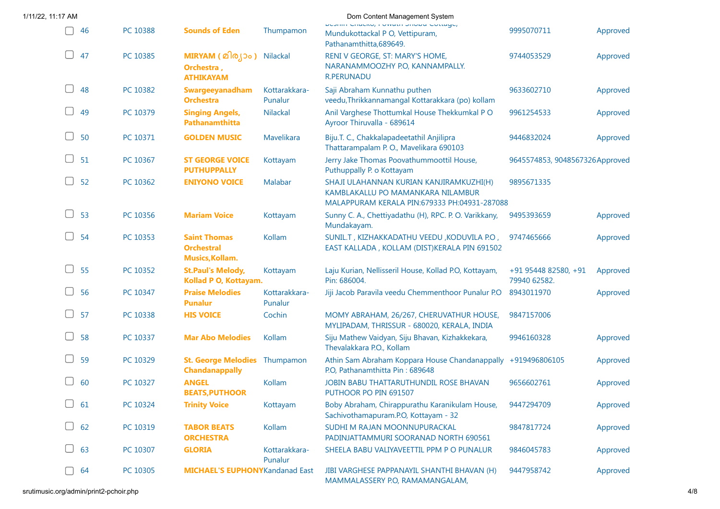| 46        | PC 10388 | <b>Sounds of Eden</b>                                              | Thumpamon                | positin chacko, romani showa conago,<br>Mundukottackal P O, Vettipuram,<br>Pathanamthitta, 689649.                           | 9995070711                             | Approved |
|-----------|----------|--------------------------------------------------------------------|--------------------------|------------------------------------------------------------------------------------------------------------------------------|----------------------------------------|----------|
| 47        | PC 10385 | MIRYAM ( മിര്യാം )<br>Orchestra,<br><b>ATHIKAYAM</b>               | Nilackal                 | RENI V GEORGE, ST: MARY'S HOME,<br>NARANAMMOOZHY P.O, KANNAMPALLY.<br><b>R.PERUNADU</b>                                      | 9744053529                             | Approved |
| 48        | PC 10382 | Swargeeyanadham<br><b>Orchestra</b>                                | Kottarakkara-<br>Punalur | Saji Abraham Kunnathu puthen<br>veedu, Thrikkannamangal Kottarakkara (po) kollam                                             | 9633602710                             | Approved |
| 49        | PC 10379 | <b>Singing Angels,</b><br>Pathanamthitta                           | Nilackal                 | Anil Varghese Thottumkal House Thekkumkal PO<br>Ayroor Thiruvalla - 689614                                                   | 9961254533                             | Approved |
| 50        | PC 10371 | <b>GOLDEN MUSIC</b>                                                | Mavelikara               | Biju.T. C., Chakkalapadeetathil Anjilipra<br>Thattarampalam P.O., Mavelikara 690103                                          | 9446832024                             | Approved |
| 51        | PC 10367 | <b>ST GEORGE VOICE</b><br><b>PUTHUPPALLY</b>                       | Kottayam                 | Jerry Jake Thomas Poovathummoottil House,<br>Puthuppally P. o Kottayam                                                       | 9645574853, 9048567326Approved         |          |
| 52        | PC 10362 | <b>ENIYONO VOICE</b>                                               | Malabar                  | SHAJI ULAHANNAN KURIAN KANJIRAMKUZHI(H)<br>KAMBLAKALLU PO MAMANKARA NILAMBUR<br>MALAPPURAM KERALA PIN:679333 PH:04931-287088 | 9895671335                             |          |
| 53        | PC 10356 | <b>Mariam Voice</b>                                                | Kottayam                 | Sunny C. A., Chettiyadathu (H), RPC. P. O. Varikkany,<br>Mundakayam.                                                         | 9495393659                             | Approved |
| 54        | PC 10353 | <b>Saint Thomas</b><br><b>Orchestral</b><br><b>Musics, Kollam.</b> | Kollam                   | SUNIL.T, KIZHAKKADATHU VEEDU, KODUVILA P.O.,<br>EAST KALLADA, KOLLAM (DIST)KERALA PIN 691502                                 | 9747465666                             | Approved |
| 55        | PC 10352 | <b>St.Paul's Melody,</b><br>Kollad P O, Kottayam.                  | Kottayam                 | Laju Kurian, Nellisseril House, Kollad P.O, Kottayam,<br>Pin: 686004.                                                        | $+91$ 95448 82580, +91<br>79940 62582. | Approved |
| 56        | PC 10347 | <b>Praise Melodies</b><br><b>Punalur</b>                           | Kottarakkara-<br>Punalur | Jiji Jacob Paravila veedu Chemmenthoor Punalur P.O                                                                           | 8943011970                             | Approved |
| 57        | PC 10338 | <b>HIS VOICE</b>                                                   | Cochin                   | MOMY ABRAHAM, 26/267, CHERUVATHUR HOUSE,<br>MYLIPADAM, THRISSUR - 680020, KERALA, INDIA                                      | 9847157006                             |          |
| 58        | PC 10337 | <b>Mar Abo Melodies</b>                                            | Kollam                   | Siju Mathew Vaidyan, Siju Bhavan, Kizhakkekara,<br>Thevalakkara P.O., Kollam                                                 | 9946160328                             | Approved |
| 59        | PC 10329 | <b>St. George Melodies</b><br><b>Chandanappally</b>                | Thumpamon                | Athin Sam Abraham Koppara House Chandanappally +919496806105<br>P.O, Pathanamthitta Pin: 689648                              |                                        | Approved |
| 60        | PC 10327 | <b>ANGEL</b><br><b>BEATS, PUTHOOR</b>                              | Kollam                   | JOBIN BABU THATTARUTHUNDIL ROSE BHAVAN<br>PUTHOOR PO PIN 691507                                                              | 9656602761                             | Approved |
| $\cup$ 61 | PC 10324 | <b>Trinity Voice</b>                                               | Kottayam                 | Boby Abraham, Chirappurathu Karanikulam House,<br>Sachivothamapuram.P.O, Kottayam - 32                                       | 9447294709                             | Approved |
| 62        | PC 10319 | <b>TABOR BEATS</b><br><b>ORCHESTRA</b>                             | Kollam                   | SUDHI M RAJAN MOONNUPURACKAL<br>PADINJATTAMMURI SOORANAD NORTH 690561                                                        | 9847817724                             | Approved |
| 63        | PC 10307 | <b>GLORIA</b>                                                      | Kottarakkara-<br>Punalur | SHEELA BABU VALIYAVEETTIL PPM P O PUNALUR                                                                                    | 9846045783                             | Approved |
| 64        | PC 10305 | <b>MICHAEL'S EUPHONYKandanad East</b>                              |                          | JIBI VARGHESE PAPPANAYIL SHANTHI BHAVAN (H)<br>MAMMALASSERY P.O, RAMAMANGALAM,                                               | 9447958742                             | Approved |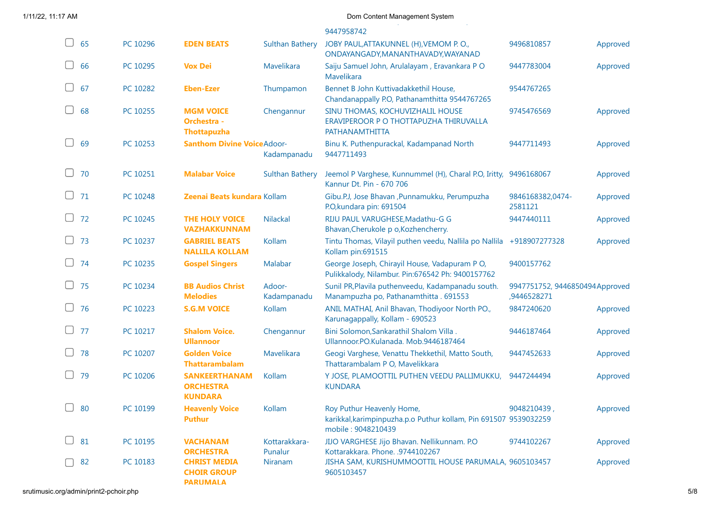| 1/11/22, 11:17 AM |  |  |
|-------------------|--|--|
|-------------------|--|--|

|              |          |                                                                |                          | 9447958742                                                                                                          |                                               |          |
|--------------|----------|----------------------------------------------------------------|--------------------------|---------------------------------------------------------------------------------------------------------------------|-----------------------------------------------|----------|
| $\Box$<br>65 | PC 10296 | <b>EDEN BEATS</b>                                              | <b>Sulthan Bathery</b>   | JOBY PAUL, ATTAKUNNEL (H), VEMOM P.O.,<br>ONDAYANGADY, MANANTHAVADY, WAYANAD                                        | 9496810857                                    | Approved |
| 66           | PC 10295 | <b>Vox Dei</b>                                                 | Mavelikara               | Saiju Samuel John, Arulalayam, Eravankara PO<br>Mavelikara                                                          | 9447783004                                    | Approved |
| 67           | PC 10282 | <b>Eben-Ezer</b>                                               | Thumpamon                | Bennet B John Kuttivadakkethil House,<br>Chandanappally P.O, Pathanamthitta 9544767265                              | 9544767265                                    |          |
| 68           | PC 10255 | <b>MGM VOICE</b><br><b>Orchestra -</b><br><b>Thottapuzha</b>   | Chengannur               | SINU THOMAS, KOCHUVIZHALIL HOUSE<br>ERAVIPEROOR P O THOTTAPUZHA THIRUVALLA<br>PATHANAMTHITTA                        | 9745476569                                    | Approved |
| $\Box$<br>69 | PC 10253 | <b>Santhom Divine VoiceAdoor-</b>                              | Kadampanadu              | Binu K. Puthenpurackal, Kadampanad North<br>9447711493                                                              | 9447711493                                    | Approved |
| 70           | PC 10251 | <b>Malabar Voice</b>                                           | <b>Sulthan Bathery</b>   | Jeemol P Varghese, Kunnummel (H), Charal P.O, Iritty, 9496168067<br>Kannur Dt. Pin - 670 706                        |                                               | Approved |
| 71           | PC 10248 | Zeenai Beats kundara Kollam                                    |                          | Gibu.P.J, Jose Bhavan , Punnamukku, Perumpuzha<br>P.O, kundara pin: 691504                                          | 9846168382,0474-<br>2581121                   | Approved |
| 72           | PC 10245 | THE HOLY VOICE<br><b>VAZHAKKUNNAM</b>                          | <b>Nilackal</b>          | RIJU PAUL VARUGHESE, Madathu-G G<br>Bhavan, Cherukole p o, Kozhencherry.                                            | 9447440111                                    | Approved |
| $\Box$<br>73 | PC 10237 | <b>GABRIEL BEATS</b><br><b>NALLILA KOLLAM</b>                  | Kollam                   | Tintu Thomas, Vilayil puthen veedu, Nallila po Nallila<br>Kollam pin:691515                                         | +918907277328                                 | Approved |
| 74           | PC 10235 | <b>Gospel Singers</b>                                          | Malabar                  | George Joseph, Chirayil House, Vadapuram PO,<br>Pulikkalody, Nilambur. Pin:676542 Ph: 9400157762                    | 9400157762                                    |          |
| 75           | PC 10234 | <b>BB Audios Christ</b><br><b>Melodies</b>                     | Adoor-<br>Kadampanadu    | Sunil PR, Plavila puthenveedu, Kadampanadu south.<br>Manampuzha po, Pathanamthitta . 691553                         | 9947751752, 9446850494Approved<br>,9446528271 |          |
| 76           | PC 10223 | <b>S.G.M VOICE</b>                                             | Kollam                   | ANIL MATHAI, Anil Bhavan, Thodiyoor North PO.,<br>Karunagappally, Kollam - 690523                                   | 9847240620                                    | Approved |
| 77           | PC 10217 | <b>Shalom Voice.</b><br><b>Ullannoor</b>                       | Chengannur               | Bini Solomon, Sankarathil Shalom Villa.<br>Ullannoor.PO.Kulanada. Mob.9446187464                                    | 9446187464                                    | Approved |
| 78           | PC 10207 | <b>Golden Voice</b><br><b>Thattarambalam</b>                   | Mavelikara               | Geogi Varghese, Venattu Thekkethil, Matto South,<br>Thattarambalam P O, Mavelikkara                                 | 9447452633                                    | Approved |
| 79           | PC 10206 | <b>SANKEERTHANAM</b><br><b>ORCHESTRA</b><br><b>KUNDARA</b>     | Kollam                   | Y JOSE, PLAMOOTTIL PUTHEN VEEDU PALLIMUKKU,<br><b>KUNDARA</b>                                                       | 9447244494                                    | Approved |
| 80           | PC 10199 | <b>Heavenly Voice</b><br><b>Puthur</b>                         | Kollam                   | Roy Puthur Heavenly Home,<br>karikkal, karimpinpuzha.p.o Puthur kollam, Pin 691507 9539032259<br>mobile: 9048210439 | 9048210439                                    | Approved |
| 81           | PC 10195 | <b>VACHANAM</b><br><b>ORCHESTRA</b>                            | Kottarakkara-<br>Punalur | JIJO VARGHESE Jijo Bhavan. Nellikunnam. P.O<br>Kottarakkara. Phone. .9744102267                                     | 9744102267                                    | Approved |
| 82           | PC 10183 | <b>CHRIST MEDIA</b><br><b>CHOIR GROUP</b><br><b>ΡΔΡΙΙΜΑΙ Δ</b> | <b>Niranam</b>           | JISHA SAM, KURISHUMMOOTTIL HOUSE PARUMALA, 9605103457<br>9605103457                                                 |                                               | Approved |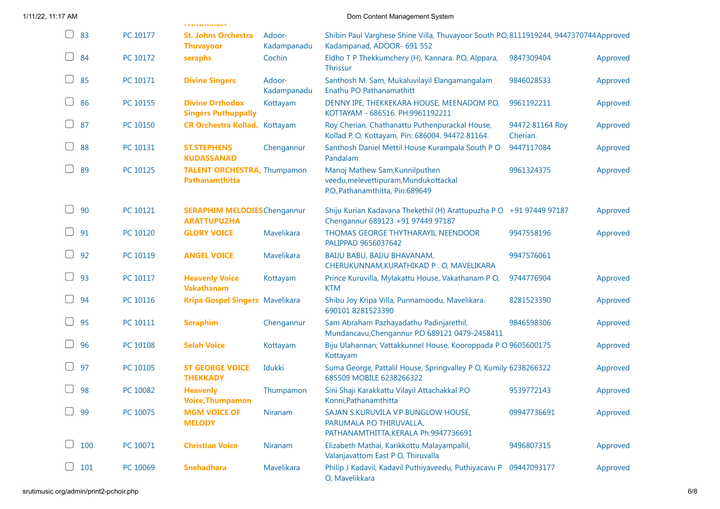|               |          | i misyonaan                                               |                       |                                                                                                                     |                             |          |
|---------------|----------|-----------------------------------------------------------|-----------------------|---------------------------------------------------------------------------------------------------------------------|-----------------------------|----------|
| 83<br>U       | PC 10177 | <b>St. Johns Orchestra</b><br><b>Thuvayoor</b>            | Adoor-<br>Kadampanadu | Shibin Paul Varghese Shine Villa, Thuvayoor South P.O, 8111919244, 9447370744Approved<br>Kadampanad, ADOOR- 691 552 |                             |          |
| $\Box$<br>84  | PC 10172 | seraphs                                                   | Cochin                | Eldho T P Thekkumchery (H), Kannara. P.O, Alppara,<br><b>Thrissur</b>                                               | 9847309404                  | Approved |
| 85            | PC 10171 | <b>Divine Singers</b>                                     | Adoor-<br>Kadampanadu | Santhosh M. Sam, Mukaluvilayil Elangamangalam<br>Enathu PO Pathanamathitt                                           | 9846028533                  | Approved |
| U<br>86       | PC 10155 | <b>Divine Orthodox</b><br><b>Singers Puthuppally</b>      | Kottayam              | DENNY IPE, THEKKEKARA HOUSE, MEENADOM P.O.<br>KOTTAYAM - 686516. PH:9961192211                                      | 9961192211                  | Approved |
| U<br>87       | PC 10150 | <b>CR Orchestra Kollad.</b> Kottayam                      |                       | Roy Cherian, Chathanattu Puthenpurackal House,<br>Kollad P. O, Kottayam, Pin: 686004. 94472 81164.                  | 94472 81164 Roy<br>Cherian. | Approved |
| U<br>88       | PC 10131 | <b>ST.STEPHENS</b><br><b>KUDASSANAD</b>                   | Chengannur            | Santhosh Daniel Mettil House Kurampala South PO<br>Pandalam                                                         | 9447117084                  | Approved |
| 89            | PC 10125 | <b>TALENT ORCHESTRA, Thumpamon</b><br>Pathanamthitta      |                       | Manoj Mathew Sam, Kunnilputhen<br>veedu, melevettipuram, Mundukottackal<br>P.O., Pathanamthitta, Pin:689649         | 9961324375                  | Approved |
| U<br>90       | PC 10121 | <b>SERAPHIM MELODIES</b> Chengannur<br><b>ARATTUPUZHA</b> |                       | Shiju Kurian Kadavana Thekethil (H) Arattupuzha P O +91 97449 97187<br>Chengannur 689123 +91 97449 97187            |                             | Approved |
| U<br>91       | PC 10120 | <b>GLORY VOICE</b>                                        | Mavelikara            | THOMAS GEORGE THYTHARAYIL NEENDOOR<br>PALIPPAD 9656037642                                                           | 9947558196                  | Approved |
| U<br>92       | PC 10119 | <b>ANGEL VOICE</b>                                        | Mavelikara            | BAIJU BABU, BAIJU BHAVANAM,<br>CHERUKUNNAM, KURATHIKAD P.O, MAVELIKARA                                              | 9947576061                  |          |
| U<br>93       | PC 10117 | <b>Heavenly Voice</b><br><b>Vakathanam</b>                | Kottayam              | Prince Kuruvilla, Mylakattu House, Vakathanam PO,<br><b>KTM</b>                                                     | 9744776904                  | Approved |
| $\Box$<br>94  | PC 10116 | Kripa Gospel Singers Mavelikara                           |                       | Shibu Joy Kripa Villa, Punnamoodu, Mavelikara.<br>690101 8281523390                                                 | 8281523390                  | Approved |
| 95<br>$\Box$  | PC 10111 | <b>Seraphim</b>                                           | Chengannur            | Sam Abraham Pazhayadathu Padinjarethil,<br>Mundancavu, Chengannur P.O 689121 0479-2458411                           | 9846598306                  | Approved |
| 96            | PC 10108 | <b>Selah Voice</b>                                        | Kottayam              | Biju Ulahannan, Vattakkunnel House, Kooroppada P O 9605600175<br>Kottayam                                           |                             | Approved |
| $\Box$<br>97  | PC 10105 | <b>ST GEORGE VOICE</b><br><b>THEKKADY</b>                 | Idukki                | Suma George, Pattalil House, Springvalley P O, Kumily 6238266322<br>685509 MOBILE 6238266322                        |                             | Approved |
| 98            | PC 10082 | <b>Heavenly</b><br><b>Voice, Thumpamon</b>                | Thumpamon             | Sini Shaji Karakkattu Vilayil Attachakkal P.O<br>Konni, Pathanamthitta                                              | 9539772143                  | Approved |
| 99            | PC 10075 | <b>MGM VOICE OF</b><br><b>MELODY</b>                      | Niranam               | SAJAN S.KURUVILA V.P BUNGLOW HOUSE.<br>PARUMALA P.O THIRUVALLA,<br>PATHANAMTHITTA, KERALA Ph: 9947736691            | 09947736691                 | Approved |
| U<br>100      | PC 10071 | <b>Christian Voice</b>                                    | Niranam               | Elizabeth Mathai, Karikkottu Malayampallil,<br>Valanjavattom East P O, Thiruvalla                                   | 9496807315                  | Approved |
| $\cup$<br>101 | PC 10069 | <b>Snehadhara</b>                                         | Mavelikara            | Philip J Kadavil, Kadavil Puthiyaveedu, Puthiyacavu P<br>O, Mavelikkara                                             | 09447093177                 | Approved |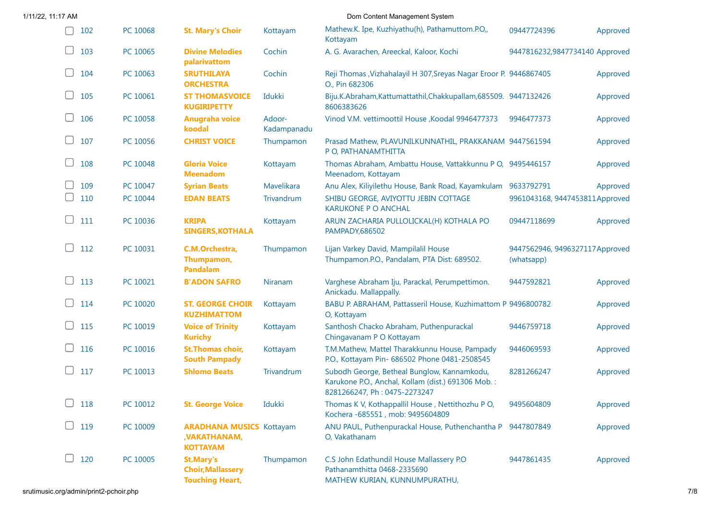| 1/11/22, 11:17 AM |          | Dom Content Management System                                          |                       |                                                                                                                                   |                                              |          |  |  |
|-------------------|----------|------------------------------------------------------------------------|-----------------------|-----------------------------------------------------------------------------------------------------------------------------------|----------------------------------------------|----------|--|--|
| 102               | PC 10068 | <b>St. Mary's Choir</b>                                                | Kottayam              | Mathew.K. Ipe, Kuzhiyathu(h), Pathamuttom.P.O,,<br>Kottayam                                                                       | 09447724396                                  | Approved |  |  |
| U<br>103          | PC 10065 | <b>Divine Melodies</b><br>palarivattom                                 | Cochin                | A. G. Avarachen, Areeckal, Kaloor, Kochi                                                                                          | 9447816232,9847734140 Approved               |          |  |  |
| $\cup$<br>104     | PC 10063 | <b>SRUTHILAYA</b><br><b>ORCHESTRA</b>                                  | Cochin                | Reji Thomas , Vizhahalayil H 307, Sreyas Nagar Eroor P. 9446867405<br>O., Pin 682306                                              |                                              | Approved |  |  |
| U<br>105          | PC 10061 | <b>ST THOMASVOICE</b><br><b>KUGIRIPETTY</b>                            | Idukki                | Biju.K.Abraham,Kattumattathil,Chakkupallam,685509. 9447132426<br>8606383626                                                       |                                              | Approved |  |  |
| 106               | PC 10058 | <b>Anugraha voice</b><br>koodal                                        | Adoor-<br>Kadampanadu | Vinod V.M. vettimoottil House, Koodal 9946477373                                                                                  | 9946477373                                   | Approved |  |  |
| $\Box$<br>107     | PC 10056 | <b>CHRIST VOICE</b>                                                    | Thumpamon             | Prasad Mathew, PLAVUNILKUNNATHIL, PRAKKANAM 9447561594<br>P O, PATHANAMTHITTA                                                     |                                              | Approved |  |  |
| $\Box$<br>108     | PC 10048 | <b>Gloria Voice</b><br><b>Meenadom</b>                                 | Kottayam              | Thomas Abraham, Ambattu House, Vattakkunnu P O, 9495446157<br>Meenadom, Kottayam                                                  |                                              | Approved |  |  |
| 109               | PC 10047 | <b>Syrian Beats</b>                                                    | Mavelikara            | Anu Alex, Kiliyilethu House, Bank Road, Kayamkulam 9633792791                                                                     |                                              | Approved |  |  |
| 110               | PC 10044 | <b>EDAN BEATS</b>                                                      | Trivandrum            | SHIBU GEORGE, AVIYOTTU JEBIN COTTAGE<br><b>KARUKONE P O ANCHAL</b>                                                                | 9961043168, 9447453811Approved               |          |  |  |
| $\Box$<br>111     | PC 10036 | <b>KRIPA</b><br><b>SINGERS, KOTHALA</b>                                | Kottayam              | ARUN ZACHARIA PULLOLICKAL(H) KOTHALA PO<br>PAMPADY, 686502                                                                        | 09447118699                                  | Approved |  |  |
| $\Box$<br>112     | PC 10031 | C.M.Orchestra,<br>Thumpamon,<br><b>Pandalam</b>                        | Thumpamon             | Lijan Varkey David, Mampilalil House<br>Thumpamon.P.O., Pandalam, PTA Dist: 689502.                                               | 9447562946, 9496327117Approved<br>(whatsapp) |          |  |  |
| $\Box$<br>113     | PC 10021 | <b>B'ADON SAFRO</b>                                                    | Niranam               | Varghese Abraham Iju, Parackal, Perumpettimon.<br>Anickadu. Mallappally.                                                          | 9447592821                                   | Approved |  |  |
| $\Box$<br>114     | PC 10020 | <b>ST. GEORGE CHOIR</b><br><b>KUZHIMATTOM</b>                          | Kottayam              | BABU P. ABRAHAM, Pattasseril House, Kuzhimattom P 9496800782<br>O, Kottayam                                                       |                                              | Approved |  |  |
| $\Box$<br>115     | PC 10019 | <b>Voice of Trinity</b><br><b>Kurichy</b>                              | Kottayam              | Santhosh Chacko Abraham, Puthenpurackal<br>Chingavanam P O Kottayam                                                               | 9446759718                                   | Approved |  |  |
| $\Box$<br>116     | PC 10016 | <b>St.Thomas choir,</b><br><b>South Pampady</b>                        | Kottayam              | T.M.Mathew, Mattel Tharakkunnu House, Pampady<br>P.O., Kottayam Pin- 686502 Phone 0481-2508545                                    | 9446069593                                   | Approved |  |  |
| □<br>117          | PC 10013 | <b>Shlomo Beats</b>                                                    | Trivandrum            | Subodh George, Betheal Bunglow, Kannamkodu,<br>Karukone P.O., Anchal, Kollam (dist.) 691306 Mob.:<br>8281266247, Ph: 0475-2273247 | 8281266247                                   | Approved |  |  |
| 118               | PC 10012 | <b>St. George Voice</b>                                                | Idukki                | Thomas K V, Kothappallil House, Nettithozhu P O,<br>Kochera - 685551, mob: 9495604809                                             | 9495604809                                   | Approved |  |  |
| $\Box$<br>119     | PC 10009 | <b>ARADHANA MUSICS Kottayam</b><br>, VAKATHANAM,<br><b>KOTTAYAM</b>    |                       | ANU PAUL, Puthenpurackal House, Puthenchantha P 9447807849<br>O, Vakathanam                                                       |                                              | Approved |  |  |
| U<br>120          | PC 10005 | <b>St.Mary's</b><br><b>Choir, Mallassery</b><br><b>Touching Heart,</b> | Thumpamon             | C.S John Edathundil House Mallassery P.O<br>Pathanamthitta 0468-2335690<br>MATHEW KURIAN, KUNNUMPURATHU,                          | 9447861435                                   | Approved |  |  |